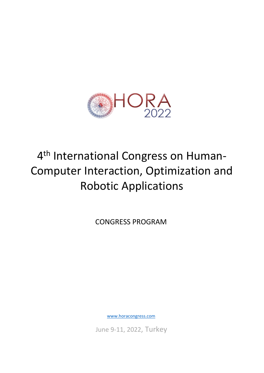

## 4<sup>th</sup> International Congress on Human-Computer Interaction, Optimization and Robotic Applications

CONGRESS PROGRAM

www.horacongress.com

June 9-11, 2022, Turkey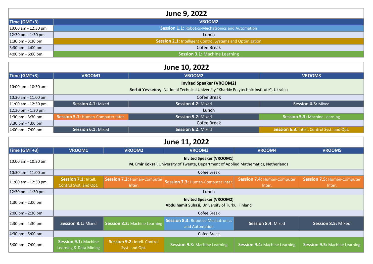| June 9, 2022                        |                                                           |  |
|-------------------------------------|-----------------------------------------------------------|--|
| Time (GMT+3)                        | VROOM <sub>2</sub>                                        |  |
| $10:00$ am - 12:30 pm               | Session 1.1: Robotics-Mechatronics and Automation         |  |
| 12:30 pm - 1:30 pm                  | Lunch                                                     |  |
| $1:30 \text{ pm} - 3:30 \text{ pm}$ | Session 2.1: Intelligent Control Systems and Optimization |  |
| $3:30 \text{ pm} - 4:00 \text{ pm}$ | Cofee Break                                               |  |
| $4:00 \text{ pm} - 6:00 \text{ pm}$ | <b>Session 3.1: Machine Learning</b>                      |  |

| June 10, 2022                         |                                                                                         |                           |                                             |  |
|---------------------------------------|-----------------------------------------------------------------------------------------|---------------------------|---------------------------------------------|--|
| Time (GMT+3)                          | <b>VROOM1</b><br><b>VROOM2</b><br>VROOM3                                                |                           |                                             |  |
| 10:00 am - 10:30 am                   | <b>Invited Speaker (VROOM2)</b>                                                         |                           |                                             |  |
|                                       | Serhii Yevseiev, National Technical University "Kharkiv Polytechnic Institute", Ukraina |                           |                                             |  |
| $10:30$ am - 11:00 am                 | Cofee Break                                                                             |                           |                                             |  |
| $11:00$ am - 12:30 pm                 | Session 4.1: Mixed<br>Session 4.2: Mixed<br>Session 4.3: Mixed                          |                           |                                             |  |
| $12:30 \text{ pm} - 1:30 \text{ pm}$  | Lunch                                                                                   |                           |                                             |  |
| $1:30 \text{ pm} - 3:30 \text{ pm}$   | <b>Session 5.1: Human-Computer Inter.</b>                                               | <b>Session 5.2: Mixed</b> | <b>Session 5.3:</b> Machine Learning        |  |
| $3:30 \text{ pm} - 4:00 \text{ pm}$   |                                                                                         | Cofee Break               |                                             |  |
| $ 4:00 \text{ pm} - 7:00 \text{ pm} $ | <b>Session 6.1: Mixed</b>                                                               | <b>Session 6.2: Mixed</b> | Session 6.3: Intell. Control Syst. and Opt. |  |

| June 11, 2022        |                                                                                                                         |                                                |                                                             |                                              |                                              |
|----------------------|-------------------------------------------------------------------------------------------------------------------------|------------------------------------------------|-------------------------------------------------------------|----------------------------------------------|----------------------------------------------|
| Time (GMT+3)         | <b>VROOM1</b>                                                                                                           | <b>VROOM2</b>                                  | <b>VROOM3</b>                                               | VROOM4                                       | VROOM5                                       |
| 10:00 am - 10:30 am  | <b>Invited Speaker (VROOM1)</b><br>M. Emir Koksal, University of Twente, Department of Applied Mathematics, Netherlands |                                                |                                                             |                                              |                                              |
| 10:30 am - 11:00 am  | Cofee Break                                                                                                             |                                                |                                                             |                                              |                                              |
| 11:00 am - 12:30 pm  | <b>Session 7.1: Intell.</b><br>Control Syst. and Opt.                                                                   | <b>Session 7.2: Human-Computer</b><br>Inter.   | <b>Session 7.3: Human-Computer Inter.</b>                   | <b>Session 7.4: Human-Computer</b><br>Inter. | <b>Session 7.5: Human-Computer</b><br>Inter. |
| 12:30 pm - 1:30 pm   | Lunch                                                                                                                   |                                                |                                                             |                                              |                                              |
| 1:30 pm - 2:00 pm    | <b>Invited Speaker (VROOM2)</b><br>Abdulhamit Subasi, University of Turku, Finland                                      |                                                |                                                             |                                              |                                              |
| 2:00 pm - 2:30 pm    | Cofee Break                                                                                                             |                                                |                                                             |                                              |                                              |
| 2:30 pm - 4:30 pm    | Session 8.1: Mixed                                                                                                      | <b>Session 8.2: Machine Learning</b>           | <b>Session 8.3: Robotics-Mechatronics</b><br>and Automation | Session 8.4: Mixed                           | Session 8.5: Mixed                           |
| $ 4:30$ pm - 5:00 pm | Cofee Break                                                                                                             |                                                |                                                             |                                              |                                              |
| 5:00 pm - 7:00 pm    | <b>Session 9.1: Machine</b><br>Learning & Data Mining                                                                   | Session 9.2: Intell. Control<br>Syst. and Opt. | <b>Session 9.3: Machine Learning</b>                        | <b>Session 9.4: Machine Learning</b>         | <b>Session 9.5: Machine Learning</b>         |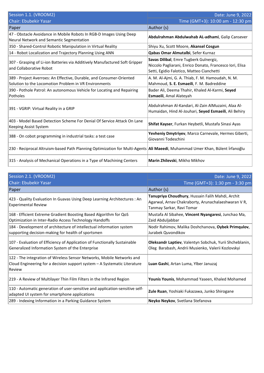| Session 1.1. (VROOM2)                                                                                                                | Date: June 9, 2022                                                                                                                              |
|--------------------------------------------------------------------------------------------------------------------------------------|-------------------------------------------------------------------------------------------------------------------------------------------------|
| <b>Chair: Ebubekir Yasar</b>                                                                                                         | Time (GMT+3): 10:00 am - 12:30 pm                                                                                                               |
| Paper                                                                                                                                | Author (s)                                                                                                                                      |
| 47 - Obstacle Avoidance in Mobile Robots In RGB-D Images Using Deep<br>Neural Network and Semantic Segmentation                      | Abdulrahman Abdulwahab AL-adhami, Galip Cansever                                                                                                |
| 350 - Shared-Control Robotic Manipulation in Virtual Reality                                                                         | Shiyu Xu, Scott Moore, Akansel Cosgun                                                                                                           |
| 14 - Robot Localization and Trajectory Planning Using ANN                                                                            | Qabas Omar Almutalbi, Sefer Kurnaz                                                                                                              |
| 307 - Grasping of Li-ion Batteries via Additively Manufactured Soft Gripper<br>and Collaborative Robot                               | Savas Dilibal, Emre Tugberk Gulnergiz,<br>Niccolo Pagliarani, Enrico Donato, Francesco Iori, Elisa<br>Setti, Egidio Falotico, Matteo Cianchetti |
| 389 - Project Averroes: An Effective, Durable, and Consumer-Oriented<br>Solution to the Locomotion Problem in VR Environments        | A. M. Al-Ajmi, G. A. Thiab, F. M. Hamoudah, N. M.<br>Mahmoud, S. E. Esmaeili, F. M. Badreddine                                                  |
| 390 - Pothole Patrol: An autonomous Vehicle for Locating and Repairing<br>Potholes                                                   | Bader Ali, Deema Thahir, Khaled Al-Karmi, Seyed<br>Esmaeili, Amal Alateyah                                                                      |
| 391 - VGRIP: Virtual Reality in a GRIP                                                                                               | Abdulrahman Al-Kandari, Al-Zain AlMuzaini, Alaa Al-<br>Humaidan, Hind Al-Jouhari, Seyed Esmaeili, Ali Behiry                                    |
| 403 - Model Based Detection Scheme For Denial Of Service Attack On Lane<br>Keeping Assist System                                     | Shifat Kayser, Furkan Heybetli, Mustafa Sinasi Ayas                                                                                             |
| 388 - On cobot programming in industrial tasks: a test case                                                                          | Yevheniy Dmytriyev, Marco Carnevale, Hermes Giberti,<br>Giovanni Todeschini                                                                     |
| 230 - Reciprocal Altruism-based Path Planning Optimization for Multi-Agents <b>Ali Maeedi</b> , Muhammad Umer Khan, Bülent İrfanoğlu |                                                                                                                                                 |
| 315 - Analysis of Mechanical Operations in a Type of Machining Centers                                                               | Marin Zhilevski, Mikho Mikhov                                                                                                                   |

| Session 2.1. (VROOM2)                                                                                                                                         | Date: June 9, 2022                                                                                                                   |
|---------------------------------------------------------------------------------------------------------------------------------------------------------------|--------------------------------------------------------------------------------------------------------------------------------------|
| <b>Chair: Ebubekir Yasar</b>                                                                                                                                  | Time (GMT+3): 1:30 pm - 3:30 pm                                                                                                      |
| Paper                                                                                                                                                         | Author (s)                                                                                                                           |
| 423 - Quality Evaluation In Guavas Using Deep Learning Architectures : An<br><b>Experimental Review</b>                                                       | Tanupriya Choudhury, Hussain Falih Mahdi, Archit<br>Agarwal, Arnav Chakraborty, Arunachalaeshwaran V R,<br>Tanmay Sarkar, Ravi Tomar |
| 168 - Efficient Extreme Gradient Boosting Based Algorithm for QoS<br>Optimization in Inter-Radio Access Technology Handoffs                                   | Mustafa Al Sibahee, Vincent Nyangaresi, Junchao Ma,<br>Zaid Abduljabbar                                                              |
| 184 - Development of architecture of intellectual information system<br>supporting decision-making for health of sportsmen                                    | Nodir Rahimov, Malika Doshchanova, Oybek Primqulov,<br>Jurabek Quvondikov                                                            |
| 107 - Evaluation of Efficiency of Application of Functionally Sustainable<br>Generalized Information System of the Enterprise                                 | Oleksandr Laptiev, Valentyn Sobchuk, Yurii Shcheblanin,<br>Oleg Barabash, Andrii Musienko, Valerii Kozlovskyi                        |
| 122 - The integration of Wireless Sensor Networks, Mobile Networks and<br>Cloud Engineering for a decision support system - A Systematic Literature<br>Review | Luan Gashi, Artan Luma, Ylber Januzaj                                                                                                |
| 219 - A Review of Multilayer Thin Film Filters in the Infrared Region                                                                                         | Younis Younis, Mohammad Yaseen, Khaled Mohamed                                                                                       |
| 110 - Automatic generation of user-sensitive and application-sensitive self-<br>adapted UI system for smartphone applications                                 | Zule Ruan, Yoshiaki Fukazawa, Junko Shirogane                                                                                        |
| 289 - Indexing Information in a Parking Guidance System                                                                                                       | Neyko Neykov, Svetlana Stefanova                                                                                                     |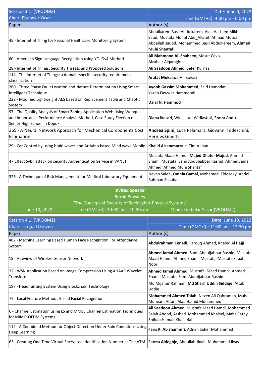| Session 3.1. (VROOM2)                                                                                                                                                        | Date: June 9, 2022                                                                                                                                                           |
|------------------------------------------------------------------------------------------------------------------------------------------------------------------------------|------------------------------------------------------------------------------------------------------------------------------------------------------------------------------|
| <b>Chair: Ebubekir Yasar</b>                                                                                                                                                 | Time (GMT+3): 4:00 pm - 6:00 pm                                                                                                                                              |
| Paper                                                                                                                                                                        | Author (s)                                                                                                                                                                   |
| 45 - Internet of Thing for Personal Healthcare Monitoring System                                                                                                             | Abdulkarem Basil Abdulkarem, Alaa Hashem Mikhlif<br>Saud, Mustafa Monaf Abd_Allatef, Ahmad Mutea<br>Abdallah sauod, Mohammed Basil Abdulkareem, Ahmed<br><b>Muhi Shantaf</b> |
| 60 - American Sign Language Recognition using YOLOv4 Method                                                                                                                  | Ali Mahmood AL-Shaheen, Mesut Cevik,<br>Alzubair Alqaraghuli                                                                                                                 |
| 28 - Internet of Things: Security Threats and Proposed Solutions                                                                                                             | Ali Saadoon Ahmed, Sefer Kurnaz                                                                                                                                              |
| 114 - The Internet of Things: a domain-specific security requirement<br>classification                                                                                       | Arafat Mukalazi, Ali Boyaci                                                                                                                                                  |
| 260 - Three Phase Fault Location and Nature Determination Using Smart<br>Intelligent Technique                                                                               | Ayoob Gassim Mohammed, Zaid Hamodat,<br>Yazen Fawwaz Hammoodi                                                                                                                |
| 222 - Modified Lightweight AES based on Replacement Table and Chaotic<br>System                                                                                              | Dalal N. Hammod                                                                                                                                                              |
| 97 - The Quality Analysis of Smart Zoning Application Web Using Webqual<br>and Importance Performance Analysis Method, Case Study Election of<br>Senior High School in Depok | Diana Ikasari, Widiastuti Widiastuti, Rheza Andika                                                                                                                           |
| 365 - A Neural Network Approach for Mechanical Components Cost<br>Estimation                                                                                                 | Andrea Spini, Luca Palamara, Giovanni Todeschini,<br>Hermes Giberti                                                                                                          |
| 29 - Car Control by using brain waves and Arduino based Mind wave Mobile                                                                                                     | Khalid Alsammarraie, Timur Inan                                                                                                                                              |
| 4 - Effect Sybil attack on security Authentication Service in VANET                                                                                                          | Mustafa Maad Hamdi, Majed Dhafer Majed, Ahmed<br>Shamil Mustafa, Sami Abduljabbar Rashid, Ahmed Jama<br>Ahmed, Ahmed Muhi Shantaf                                            |
| 326 - A Technique of Risk Management for Medical Laboratory Equipment                                                                                                        | Neven Saleh, Omnia Gamal, Mohamed Eldosoky, Abdel<br>Rahman Shaaban                                                                                                          |

## **Invited Speaker Serhii Yevseiev** "The Concept of Security of Sociocyber-Physical Systems"

June 10, 2022 Time (GMT+3): 10:00 am - 10:30 am Chair: Ebubekir Yasar (VROOM2)

| Session 4.1. (VROOM1)                                                                                                      | Date: June 10, 2022                                                                                                            |
|----------------------------------------------------------------------------------------------------------------------------|--------------------------------------------------------------------------------------------------------------------------------|
| <b>Chair: Turgut Ozseven</b>                                                                                               | Time (GMT+3): 11:00 am - 12:30 pm                                                                                              |
| Paper                                                                                                                      | Author (s)                                                                                                                     |
| 402 - Machine Learning Based Human Face Recognition For Attendance<br>System                                               | Abdulrahman Cenadi, Farouq Ahmad, Khaled Al Hajji                                                                              |
| 15 - A review of Wireless Sensor Network                                                                                   | Ahmed Jamal Ahmed, Sami Abduljabbar Rashid, Mustafa<br>Maad Hamdi, Ahmed Shamil Mustafa, Mustafa Sabah<br>Noori                |
| 32 - WSN Application Based on Image Compression Using AHAAR Wavelet<br>Transform                                           | Ahmed Jamal Ahmed, Mustafa Maad Hamdi, Ahmed<br>Shamil Mustafa, Sami Abduljabbar Rashid                                        |
| 197 - Headhunting System Using Blockchain Technology                                                                       | Md Mijanur Rahman, Md Sharif Uddin Siddiqe, Aftab<br>Uddin                                                                     |
| 79 - Local Feature Methods Based Facial Recognition                                                                        | Mohammed Ahmed Talab, Neven Ali Qahraman, Mais<br>Muneam Aftan, Alaa Hamid Mohammed                                            |
| 6 - Channel Estimation using LS and MMSE Channel Estimation Techniques<br>for MIMO-OFDM Systems                            | Ali Saadoon Ahmed, Mustafa Maad Hamdi, Mohammed<br>Salah Abood, Arshad Mohammed Khaleel, Maha Fathy,<br>Shihab Hamad Khaleefah |
| 112 - A Combined Method for Object Detection Under Rain Conditions Using<br>Deep Learning                                  | Faris K. AL-Shammri, Adnan Saher Mohammed                                                                                      |
| 63 - Creating One Time Virtual Encrypted Identification Number at The ATM   Fatma Aldoghje, Abdullah Jinah, Muhammad Ilyas |                                                                                                                                |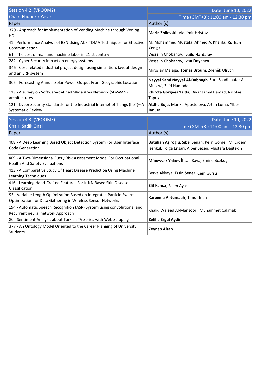| Session 4.2. (VROOM2)                                                                                                               | Date: June 10, 2022                                                                                           |
|-------------------------------------------------------------------------------------------------------------------------------------|---------------------------------------------------------------------------------------------------------------|
| <b>Chair: Ebubekir Yasar</b>                                                                                                        | Time (GMT+3): 11:00 am - 12:30 pm                                                                             |
| Paper                                                                                                                               | Author (s)                                                                                                    |
| 370 - Approach for Implementation of Vending Machine through Verilog<br>HDL                                                         | Marin Zhilevski, Vladimir Hristov                                                                             |
| 41 - Performance Analysis of BSN Using ACK-TDMA Techniques for Effective<br>Communication                                           | M. Mohammed Mustafa, Ahmed A. Khalifa, Korhan<br><b>Cengiz</b>                                                |
| 61 - The cost of man and machine labor in 21-st century                                                                             | Vesselin Chobanov, Ivailo Hardalov                                                                            |
| 282 - Cyber Security impact on energy systems                                                                                       | Vesselin Chobanov, Ivan Doychev                                                                               |
| 346 - Cost-related industrial project design using simulation, layout design<br>and an ERP system                                   | Miroslav Malaga, Tomáš Broum, Zdeněk Ulrych                                                                   |
| 305 - Forecasting Annual Solar Power Output From Geographic Location                                                                | Nayyef Sami Nayyef Al-Dabbagh, Sura Saadi Jaafar Al-<br>Musawi, Zaid Hamodat                                  |
| 113 - A survey on Software-defined Wide Area Network (SD-WAN)<br>architectures                                                      | Khirota Gorgees Yalda, Diyar Jamal Hamad, Nicolae<br>Tapuş                                                    |
| 121 - Cyber Security standards for the Industrial Internet of Things (IIoT)- A<br>Systematic Review                                 | Atdhe Buja, Marika Apostolova, Artan Luma, Ylber<br>Januzaj                                                   |
| Session 4.3. (VROOM3)                                                                                                               | Date: June 10, 2022                                                                                           |
| <b>Chair: Sadik Onal</b>                                                                                                            | Time (GMT+3): 11:00 am - 12:30 pm                                                                             |
| Paper                                                                                                                               | Author (s)                                                                                                    |
| 408 - A Deep Learning Based Object Detection System For User Interface<br><b>Code Generation</b>                                    | Batuhan Aşıroğlu, Sibel Senan, Pelin Görgel, M. Erdem<br>Isenkul, Tolga Ensari, Alper Sezen, Mustafa Dağtekin |
| 409 - A Two-Dimensional Fuzzy Risk Assessment Model For Occupational<br><b>Health And Safety Evaluations</b>                        | Münevver Yakut, İhsan Kaya, Emine Bozkuş                                                                      |
| 413 - A Comparative Study Of Heart Disease Prediction Using Machine<br>Learning Techniques                                          | Berke Akkaya, Ersin Sener, Cem Gursu                                                                          |
| 416 - Learning Hand-Crafted Features For K-NN Based Skin Disease<br>Classification                                                  | Elif Kanca, Selen Ayas                                                                                        |
| 95 - Variable Length Optimization Based on Integrated Particle Swarm<br>Optimization for Data Gathering in Wireless Sensor Networks | Kareema Al-Jumaah, Timur Inan                                                                                 |
| 194 - Automatic Speech Recognition (ASR) System using convolutional and<br>Recurrent neural network Approach                        | Khalid Waleed Al-Mansoori, Muhammet Çakmak                                                                    |
| 80 - Sentiment Analysis about Turkish TV Series with Web Scraping                                                                   | <b>Zeliha Ergul Aydin</b>                                                                                     |
| 377 - An Ontology Model Oriented to the Career Planning of University<br>Students                                                   | <b>Zeynep Altan</b>                                                                                           |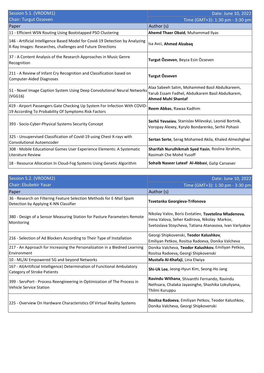| Session 5.1. (VROOM1)                                                                                                                       | Date: June 10, 2022                                                                                                             |
|---------------------------------------------------------------------------------------------------------------------------------------------|---------------------------------------------------------------------------------------------------------------------------------|
| <b>Chair: Turgut Ozseven</b>                                                                                                                | Time (GMT+3): 1:30 pm - 3:30 pm                                                                                                 |
| Paper                                                                                                                                       | Author (s)                                                                                                                      |
| 11 - Efficient WSN Routing Using Bootstapped PSO Clustering                                                                                 | Ahemd Thaer Obaid, Muhammad Ilyas                                                                                               |
| 146 - Artificial Intelligence Based Model for Covid-19 Detection by Analyzing<br>X-Ray Images: Researches, challenges and Future Directions | Isa Avci, Ahmed Alzabag                                                                                                         |
| 37 - A Content Analysis of the Research Approaches in Music Genre<br>Recognition                                                            | Turgut Özseven, Beyza Esin Özseven                                                                                              |
| 211 - A Review of Infant Cry Recognition and Classification based on<br>Computer-Aided Diagnoses                                            | Turgut Özseven                                                                                                                  |
| 51 - Novel Image Caption System Using Deep Convolutional Neural Networks<br>$\vert$ (VGG16)                                                 | Alaa Sabeeh Salim, Mohammed Basil Abdulkareem,<br>Yarub Essam Fadhel, Abdulkarem Basil Abdulkarem,<br><b>Ahmed Muhi Shantaf</b> |
| 419 - Airport Passengers Gate Checking Up System For Infection With COVID<br>19 According To Probability Of Symptoms Risk Factors           | Reem Abbas, Rawaa Kadhim                                                                                                        |
| 393 - Socio-Cyber-Physical Systems Security Concept                                                                                         | Serhii Yevseiev, Stanislav Milevskyi, Leonid Bortnik,<br>Voropay Alexey, Kyrylo Bondarenko, Serhii Pohasii                      |
| 325 - Unsupervised Classification of Covid-19 using Chest X-rays with<br>Convolutional Autoencoder                                          | Sertan Serte, Serag Mohamed Akila, Khaled Almezhghwi                                                                            |
| 308 - Mobile Educational Games User Experience Elements: A Systematic<br>Literature Review                                                  | Sharifah Nurulhikmah Syed Yasin, Roslina Ibrahim,<br>Rasimah Che Mohd Yusoff                                                    |
| 18 - Resource Allocation In Cloud-Fog Systems Using Genetic Algorithm                                                                       | Sohaib Naseer Lateef Al-Abbasi, Galip Cansever                                                                                  |

| Session 5.2. (VROOM2)                                                                                           | Date: June 10, 2022                                                                                                                                               |
|-----------------------------------------------------------------------------------------------------------------|-------------------------------------------------------------------------------------------------------------------------------------------------------------------|
| Chair: Ebubekir Yasar                                                                                           | Time (GMT+3): 1:30 pm - 3:30 pm                                                                                                                                   |
| Paper                                                                                                           | Author (s)                                                                                                                                                        |
| 36 - Research on Filtering Feature Selection Methods for E-Mail Spam<br>Detection by Applying K-NN Classifier   | Tsvetanka Georgieva-Trifonova                                                                                                                                     |
| 380 - Design of a Sensor Measuring Station for Pasture Parameters Remote<br>Monitoring                          | Nikolay Valov, Boris Evstatiev, Tsvetelina Mladenova,<br>Irena Valova, Seher Kadirova, Nikolay Markov,<br>Svetoslava Stoycheva, Tatiana Atanasova, Ivan Varlyakov |
| 216 - Selection of Ad Blockers According to Their Type of Installation                                          | Georgi Shipkovenski, Teodor Kalushkov,<br>Emiliyan Petkov, Rositsa Radoeva, Donika Valcheva                                                                       |
| 217 - An Approach for Increasing the Personalization in a Bledned Learning<br>Environment                       | Donika Valcheva, Teodor Kalushkov, Emiliyan Petkov,<br>Rositsa Radoeva, Georgi Shipkovenski                                                                       |
| 10 - ML/AI Empowered 5G and beyond Networks                                                                     | Mustafa Al-Khafaji, Lina Elwiya                                                                                                                                   |
| 167 - Al(Aritificial Intelligence) Determination of Functional Ambulatory<br><b>Category of Stroke Patients</b> | Shi-Uk Lee, Jeong-Hyun Kim, Seong-Ho Jang                                                                                                                         |
| 399 - ServPort - Process Reengineering in Optimization of The Process in<br>Vehicle Service Station             | Ravindu Withana, Shivanthi Fernando, Ravindu<br>Nethsara, Chalaka Jayasinghe, Shashika Lokuliyana,<br>Thilmi Kuruppu                                              |
| 225 - Overview On Hardware Characteristics Of Virtual Reality Systems                                           | Rositsa Radoeva, Emiliyan Petkov, Teodor Kalushkov,<br>Donika Valcheva, Georgi Shipkovenski                                                                       |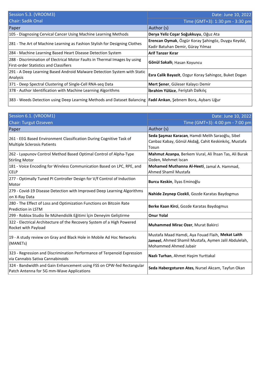| Session 5.3. (VROOM3)                                                                                                       | Date: June 10, 2022                                   |
|-----------------------------------------------------------------------------------------------------------------------------|-------------------------------------------------------|
| <b>Chair: Sadik Onal</b>                                                                                                    | Time (GMT+3): 1:30 pm - 3:30 pm                       |
| Paper                                                                                                                       | Author (s)                                            |
| 105 - Diagnosing Cervical Cancer Using Machine Learning Methods                                                             | Derya Yeliz Coşar Soğukkuyu, Oğuz Ata                 |
|                                                                                                                             | Erencan Oymak, Özgür Koray Şahingöz, Duygu Keydal,    |
| 281 - The Art of Machine Learning as Fashion Stylish for Designing Clothes                                                  | Kadir Batuhan Demir, Güray Yılmaz                     |
| 284 - Machine Learning Based Heart Disease Detection System                                                                 | <b>Arif Tanzer Kırar</b>                              |
| 288 - Discrimination of Electrical Motor Faults in Thermal Images by using<br><b>First-order Statistics and Classifiers</b> | Gönül Sakallı, Hasan Koyuncu                          |
| 291 - A Deep Learning Based Android Malware Detection System with Static<br>Analysis                                        | Esra Calik Bayazit, Ozgur Koray Sahingoz, Buket Dogan |
| 371 - Deep Spectral Clustering of Single-Cell RNA-seq Data                                                                  | Mert Şener, Güleser Kalaycı Demir                     |
| 378 - Author Identification with Machine Learning Algorithms                                                                | <b>İbrahim Yülüce</b> , Feriştah Dalkılıç             |
| 383 - Weeds Detection using Deep Learning Methods and Dataset Balancing  Fadıl Arıkan, Şebnem Bora, Aybars Uğur             |                                                       |

| Session 6.1. (VROOM1)                                                                                              | Date: June 10, 2022                                                                                                               |
|--------------------------------------------------------------------------------------------------------------------|-----------------------------------------------------------------------------------------------------------------------------------|
| <b>Chair: Turgut Ozseven</b>                                                                                       | Time (GMT+3): 4:00 pm - 7:00 pm                                                                                                   |
| Paper                                                                                                              | Author (s)                                                                                                                        |
| 261 - EEG Based Environment Classification During Cognitive Task of<br>Multiple Sclerosis Patients                 | Seda Şaşmaz Karacan, Hamdi Melih Saraoğlu, Sibel<br>Canbaz Kabay, Gönül Akdağ, Cahit Keskinkılıç, Mustafa<br>Tosun                |
| 262 - Lyapunov Control Method Based Optimal Control of Alpha-Type<br>Stirling Motor                                | Mahmut Azanpa, Berkem Vural, Ali İhsan Tas, Ali Burak<br>Ozden, Mehmet Iscan                                                      |
| 181 - Voice Encoding for Wireless Communication Based on LPC, RPE, and<br><b>CELP</b>                              | Mohamed Muthanna Al-Heeti, Jamal A. Hammad,<br>Ahmed Shamil Mustafa                                                               |
| 277 - Optimally Tuned PI Controller Design for V/f Control of Induction<br>Motor!                                  | Burcu Keskin, İlyas Eminoğlu                                                                                                      |
| 279 - Covid-19 Disease Detection with Improved Deep Learning Algorithms<br>on X-Ray Data                           | Nahide Zeynep Cicekli, Gozde Karatas Baydogmus                                                                                    |
| 280 - The Effect of Loss and Optimization Functions on Bitcoin Rate<br><b>Prediction in LSTM</b>                   | Berke Kaan Kirci, Gozde Karatas Baydogmus                                                                                         |
| 299 - Roblox Studio İle Mühendislik Eğitimi İçin Deneyim Geliştirme                                                | <b>Onur Yolal</b>                                                                                                                 |
| 322 - Electrical Architecture of the Recovery System of a High Powered<br><b>Rocket with Payload</b>               | Muhammed Mirac Ozer, Murat Bakirci                                                                                                |
| 19 - A study review on Gray and Black Hole in Mobile Ad Hoc Networks<br>(MANETs)                                   | Mustafa Maad Hamdi, Aya Fouad Flaih, Mekat Laith<br>Jameel, Ahmed Shamil Mustafa, Aymen Jalil Abdulelah,<br>Mohammed Ahmed Jubair |
| 323 - Regression and Discrimination Performance of Terpenoid Expression<br>lvia Cannabis Sativa Cannabinoids       | Nazlı Turhan, Ahmet Haşim Yurttakal                                                                                               |
| 324 - Bandwidth and Gain Enhancement using FSS on CPW-fed Rectangular<br>Patch Antenna for 5G mm-Wave Applications | Seda Habergoturen Ates, Nursel Akcam, Tayfun Okan                                                                                 |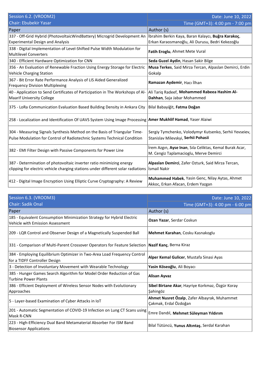| Session 6.2. (VROOM2)                                                                                                                                    | Date: June 10, 2022                                                                                    |
|----------------------------------------------------------------------------------------------------------------------------------------------------------|--------------------------------------------------------------------------------------------------------|
| <b>Chair: Ebubekir Yasar</b>                                                                                                                             | Time (GMT+3): 4:00 pm - 7:00 pm                                                                        |
| Paper                                                                                                                                                    | Author (s)                                                                                             |
| 337 - Off-Grid Hybrid (PhotovoltaicWindBattery) Microgrid Development An<br><b>Experimental Design and Analysis</b>                                      | İbrahim Berkin Kaya, Baran Kalaycı, Buğra Karakoç,<br>Erkan Karaosmanoğlu, Ali Durusu, Bedri Kekezoğlu |
| 338 - Digital Implementation of Level-Shifted Pulse Width Modulation for<br>Multilevel Converters                                                        | Fatih Eroglu, Ahmet Mete Vural                                                                         |
| 340 - Efficient Hardware Optimization for CNN                                                                                                            | Seda Guzel Aydin, Hasan Sakir Bilge                                                                    |
| 356 - An Evaluation of Renewable Fraction Using Energy Storage for Electric<br><b>Vehicle Charging Station</b>                                           | Musa Terkes, Said Mirza Tercan, Alpaslan Demirci, Erdin<br>Gokalp                                      |
| 367 - Bit Error Rate Performance Analysis of LIS Aided Generalized<br><b>Frequency Division Multiplexing</b>                                             | Ramazan Aydemir, Hacı İlhan                                                                            |
| 40 - Application to Send Certificates of Participation in The Workshops of Al-<br><b>Maarif University College</b>                                       | Ali Tariq Radeef, Mohammed Rabeea Hashim Al-<br>Dahhan, Saja Jabar Mohammed                            |
| 375 - LoRa Communication Evaluation Based Building Density in Ankara City                                                                                | Bilal Babayiğit, Fatma Doğan                                                                           |
| 258 - Localization and Identification Of UAVS System Using Image Processing <b>Amer Mukhlif Hamad</b> , Yaser Alaiwi                                     |                                                                                                        |
| 304 - Measuring Signals Synthesis Method on the Basis of Triangular Time-<br>Pulse Modulation for Control of Radiotechnic Systems Technical Condition    | Sergiy Tymchenko, Volodymyr Kutsenko, Serhii Yevseiev,<br>Stanislav Milevskyi, Serhii Pohasii          |
| 382 - EMI Filter Design with Passive Components for Power Line                                                                                           | İrem Azgın, Ayse Inan, Sıla Celiktas, Kemal Burak Acar,<br>M. Cengiz Taplamacioglu, Merve Demirci      |
| 387 - Determination of photovoltaic inverter ratio minimizing energy<br>clipping for electric vehicle charging stations under different solar radiations | Alpaslan Demirci, Zafer Ozturk, Said Mirza Tercan,<br>Ismail Nakir                                     |
| 412 - Digital Image Encryption Using Elliptic Curve Cryptography: A Review                                                                               | Muhammed Habek, Yasin Genc, Nilay Aytas, Ahmet<br>Akkoc, Erkan Afacan, Erdem Yazgan                    |

| Session 6.3. (VROOM3)                                                                                      | Date: June 10, 2022                                                   |
|------------------------------------------------------------------------------------------------------------|-----------------------------------------------------------------------|
| <b>Chair: Sadik Onal</b>                                                                                   | Time (GMT+3): 4:00 pm - 6:00 pm                                       |
| Paper                                                                                                      | Author (s)                                                            |
| 185 - Equivalent Consumption Minimization Strategy for Hybrid Electric<br>Vehicle with Emission Assessment | Ozan Yazar, Serdar Coskun                                             |
| 209 - LQR Control and Observer Design of a Magnetically Suspended Ball                                     | Mehmet Karahan, Cosku Kasnakoglu                                      |
| 331 - Comparison of Multi-Parent Crossover Operators for Feature Selection   Nazif Kanç, Berna Kiraz       |                                                                       |
| 384 - Employing Equilibrium Optimizer in Two-Area Load Frequency Control<br>for a TIDFF Controller Design  | Alper Kemal Gulicer, Mustafa Sinasi Ayas                              |
| 3 - Detection of Involuntary Movement with Wearable Technology                                             | Yasin Köseoğlu, Ali Boyacı                                            |
| 385 - Hunger Games Search Algorithm for Model Order Reduction of Gas<br><b>Turbine Power Plants</b>        | Alisan Ayvaz                                                          |
| 386 - Efficient Deployment of Wireless Sensor Nodes with Evolutionary<br>Approaches                        | Sibel Birtane Akar, Hayriye Korkmaz, Özgür Koray<br>Şahingöz          |
| 5 - Layer-based Examination of Cyber Attacks in IoT                                                        | Ahmet Nusret Özalp, Zafer Albayrak, Muhammet<br>Çakmak, Erdal Özdoğan |
| 201 - Automatic Segmentation of COVID-19 Infection on Lung CT Scans using<br>Mask R-CNN                    | Emre Dandıl, Mehmet Süleyman Yıldırım                                 |
| 223 - High-Efficiency Dual Band Metamaterial Absorber For ISM Band<br><b>Biosensor Applications</b>        | Bilal Tütüncü, Yunus Altıntaş, Serdal Karahan                         |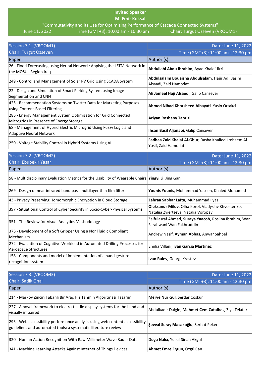## **Invited Speaker**

**M. Emir Koksal**

"Commutativity and its Use for Optimizing Performance of Cascade Connected Systems"<br>2022 10:00 am - 10:30 am - 10:30 am Chair: Turgut Ozseven (VROOM1)

June 11, 2022 Time (GMT+3): 10:00 am - 10:30 am

| Session 7.1. (VROOM1)                                                                                      | Date: June 11, 2022                                                                |
|------------------------------------------------------------------------------------------------------------|------------------------------------------------------------------------------------|
| <b>Chair: Turgut Ozseven</b>                                                                               | Time (GMT+3): 11:00 am - 12:30 pm                                                  |
| Paper                                                                                                      | Author (s)                                                                         |
| 26 - Flood Forecasting using Neural Network: Applying the LSTM Network in<br>the MOSUL Region Iraq         | Abdullahi Abdu Ibrahim, Ayad Khalaf Jirri                                          |
| 249 - Control and Management of Solar PV Grid Using SCADA System                                           | Abdulsalalm Bouaisha Abdulsalam, Hajir Adil Jasim<br>Alsaadi, Zaid Hamodat         |
| 22 - Design and Simulation of Smart Parking System using Image<br>Segmentation and CNN                     | Ali Jameel Haji Alsaedi, Galip Cansever                                            |
| 425 - Recommendation Systems on Twitter Data for Marketing Purposes<br>using Content-Based Filtering       | Ahmed Nihad Khorsheed Albayati, Yasin Ortakci                                      |
| 286 - Energy Management System Optimization for Grid Connected<br>Microgrids in Presence of Energy Storage | Ariyan Roshany Tabrizi                                                             |
| 68 - Management of Hybrid Electric Microgrid Using Fuzzy Logic and<br>Adaptive Neural Network              | Ihsan Basil Aljanabi, Galip Cansever                                               |
| 250 - Voltage Stability Control in Hybrid Systems Using AI                                                 | <b>Fadhaa Zaid Khalaf Al-Gbur, Rasha Khalied Lrehaem Al</b><br>Yosif, Zaid Hamodat |

| Session 7.2. (VROOM2)                                                                                        | Date: June 11, 2022                                    |
|--------------------------------------------------------------------------------------------------------------|--------------------------------------------------------|
| <b>Chair: Ebubekir Yasar</b>                                                                                 | Time (GMT+3): 11:00 am - 12:30 pm                      |
| Paper                                                                                                        | Author (s)                                             |
| 58 - Multidisciplinary Evaluation Metrics for the Usability of Wearable Chairs   <b>Yingyi Li</b> , Jing Gan |                                                        |
| 269 - Design of near infrared band pass multilayer thin film filter                                          | Younis Younis, Mohammad Yaseen, Khaled Mohamed         |
| 43 - Privacy Preserving Homomorphic Encryption in Cloud Storage                                              | Zahraa Sabbar Lafta, Muhammad Ilyas                    |
|                                                                                                              | Oleksandr Milov, Olha Korol, Vladyslav Khvostenko,     |
| 397 - Situational Control of Cyber Security in Socio-Cyber-Physical Systems                                  | Nataliia Zviertseva, Natalia Voropay                   |
| 351 - The Review for Visual Analytics Methodology                                                            | Zaifulasraf Ahmad, Suraya Yaacob, Roslina Ibrahim, Wan |
|                                                                                                              | Farahwani Wan Fakhruddin                               |
| 376 - Development of a Soft Gripper Using a NonFluidic Compliant                                             | Andrew Nasif, Ayman Abbas, Anwar Sahbel                |
| Mechanism                                                                                                    |                                                        |
| 272 - Evaluation of Cognitive Workload in Automated Drilling Processes for                                   | Emilia Villani, Ivan Garcia Martinez                   |
| Aerospace Structures                                                                                         |                                                        |
| 158 - Components and model of implementation of a hand gesture                                               |                                                        |
| recognition system                                                                                           | Ivan Ralev, Georgi Krastev                             |

| Session 7.3. (VROOM3)                                                                                                                           | Date: June 11, 2022                                  |
|-------------------------------------------------------------------------------------------------------------------------------------------------|------------------------------------------------------|
| <b>Chair: Sadik Onal</b>                                                                                                                        | Time (GMT+3): 11:00 am - 12:30 pm                    |
| Paper                                                                                                                                           | Author (s)                                           |
| 214 - Markov Zinciri Tabanlı Bir Araç Hız Tahmin Algoritması Tasarımı                                                                           | <b>Merve Nur Gül</b> , Serdar Coskun                 |
| 227 - A novel framework to electro-tactile display systems for the blind and<br>visually impaired                                               | Abdulkadir Dalgin, Mehmet Cem Catalbas, Ziya Telatar |
| [293 - Web accessibility performance analysis using web content accessibility<br>guidelines and automated tools: a systematic literature review | Şevval Seray Macakoğlu, Serhat Peker                 |
| 320 - Human Action Recognition With Raw Millimeter Wave Radar Data                                                                              | Doga Nalcı, Yusuf Sinan Akgul                        |
| 341 - Machine Learning Attacks Against Internet of Things Devices                                                                               | Ahmet Emre Ergün, Özgü Can                           |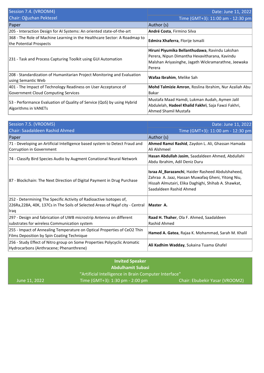| Session 7.4. (VROOM4)                                                                                        | Date: June 11, 2022                                                                                                                                              |
|--------------------------------------------------------------------------------------------------------------|------------------------------------------------------------------------------------------------------------------------------------------------------------------|
| Chair: Oğuzhan Pektezel                                                                                      | Time (GMT+3): 11:00 am - 12:30 pm                                                                                                                                |
| Paper                                                                                                        | Author (s)                                                                                                                                                       |
| 205 - Interaction Design for AI Systems: An oriented state-of-the-art                                        | André Costa, Firmino Silva                                                                                                                                       |
| 368 - The Role of Machine Learning in the Healthcare Sector: A Roadmap to<br>the Potential Prospects         | <b>Edmira Xhaferra, Florije Ismaili</b>                                                                                                                          |
| 231 - Task and Process Capturing Toolkit using GUI Automation                                                | Hiruni Piyumika Bellanthudawa, Ravindu Lakshan<br>Perera, Nipun Dimantha Hevavitharana, Kavindu<br>Malshan Ariyasinghe, Jagath Wickramarathne, Jeewaka<br>Perera |
| 208 - Standardization of Humanitarian Project Monitoring and Evaluation<br>using Semantic Web                | Wafaa Ibrahim, Melike Sah                                                                                                                                        |
| 401 - The Impact of Technology Readiness on User Acceptance of<br><b>Government Cloud Computing Services</b> | Mohd Talmizie Amron, Roslina Ibrahim, Nur Azaliah Abu<br>Bakar                                                                                                   |
| 53 - Performance Evaluation of Quality of Service (QoS) by using Hybrid<br>Algorithms in VANETs              | Mustafa Maad Hamdi, Lukman Audah, Aymen Jalil<br>Abdulelah, Hadeel Khalid Fakhri, Saja Fawzi Fakhri,<br>Ahmed Shamil Mustafa                                     |

| Session 7.5. (VROOM5)                                                                                               | Date: June 11, 2022                                                                                                                                                                       |
|---------------------------------------------------------------------------------------------------------------------|-------------------------------------------------------------------------------------------------------------------------------------------------------------------------------------------|
| Chair: Saadaldeen Rashid Ahmed                                                                                      | Time (GMT+3): 11:00 am - 12:30 pm                                                                                                                                                         |
| Paper                                                                                                               | Author (s)                                                                                                                                                                                |
| 71 - Developing an Artificial Intelligence based system to Detect Fraud and                                         | Ahmed Ramzi Rashid, Zaydon L. Ali, Ghassan Hamada                                                                                                                                         |
| Corruption in Government                                                                                            | Ali Alshmeel                                                                                                                                                                              |
| 74 - Classify Bird Species Audio by Augment Conational Neural Network                                               | Hasan Abdullah Jasim, Saadaldeen Ahmed, Abdullahi                                                                                                                                         |
|                                                                                                                     | Abdu Ibrahim, Adil Deniz Duru                                                                                                                                                             |
| 87 - Blockchain: The Next Direction of Digital Payment in Drug Purchase                                             | Israa Al_Barazanchi, Haider Rasheed Abdulshaheed,<br>Zahraa A. Jaaz, Hassan Muwafaq Gheni, Yitong Niu,<br>Hissah Almutairi, Elika Daghighi, Shihab A. Shawkat,<br>Saadaldeen Rashid Ahmed |
| 252 - Determining The Specific Activity of Radioactive Isotopes of,                                                 |                                                                                                                                                                                           |
| 226Ra, 228A, 40K, 137Cs in The Soils of Selected Areas of Najaf city - Central                                      | Master A.                                                                                                                                                                                 |
| <b>Iraq</b>                                                                                                         |                                                                                                                                                                                           |
| 297 - Design and fabrication of UWB microstrip Antenna on different                                                 | Raad H. Thaher, Ola F. Ahmed, Saadaldeen                                                                                                                                                  |
| substrates for wireless Communication system                                                                        | Rashid Ahmed                                                                                                                                                                              |
| 255 - Impact of Annealing Temperature on Optical Properties of CeO2 Thin                                            |                                                                                                                                                                                           |
| Films Deposition by Spin Coating Technique                                                                          | Hamed A. Gatea, Rajaa K. Mohammad, Sarah M. Khalil                                                                                                                                        |
| 256 - Study Effect of Nitro group on Some Properties Polycyclic Aromatic<br>Hydrocarbons (Anthracene; Phenanthrene) | Ali Kadhim Wadday, Sukaina Tuama Ghafel                                                                                                                                                   |

| <b>Invited Speaker</b>                                |                                 |                                |
|-------------------------------------------------------|---------------------------------|--------------------------------|
| <b>Abdulhamit Subasi</b>                              |                                 |                                |
| "Artificial Intelligence in Brain Computer Interface" |                                 |                                |
| June 11, 2022                                         | Time (GMT+3): 1:30 pm - 2:00 pm | Chair: Ebubekir Yasar (VROOM2) |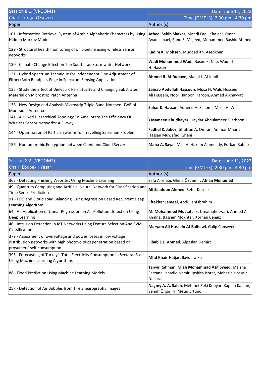| Session 8.1. (VROOM1)                                                                                                            | Date: June 11, 2022                                                                                  |
|----------------------------------------------------------------------------------------------------------------------------------|------------------------------------------------------------------------------------------------------|
| <b>Chair: Turgut Ozseven</b>                                                                                                     | Time (GMT+3): 2:30 pm - 4:30 pm                                                                      |
| Paper                                                                                                                            | Author (s)                                                                                           |
| 101 - Information Retrieval System of Arabic Alphabetic Characters by Using<br>Hidden Markov Model                               | Atheel Sabih Shaker, Mahdi Fadil Khaleel, Omar<br>Ayad Ismael, Rand S. Majeed, Mohammed Rashid Ahmed |
| 129 - Structural health monitoring of oil pipeline using wireless sensor<br> networks                                            | Kadim K. Mohsen, Muqdad Kh. Asedkhan                                                                 |
| 130 - Climate Change Effect on The South Iraq Stormwater Network                                                                 | Wadi Mohammed Wadi, Basim K. Nile, Waqed<br>H. Hassan                                                |
| 131 - Hybrid Spectrum Technique for Independent Fine Adjustment of<br>Either/Both Bandpass Edge in Spectrum Sensing Applications | Ahmed R. Al-Rubaye, Manal J. Al-Kindi                                                                |
| 135 - Study the Effect of Dielectric Permittivity and Changing Substrates<br>Material on Microstrip Patch Antenna                | Zainab Abdullah Hassoun, Musa H. Wali, Hussein<br>Ali Hussein, Noor Hanoon Haroon, Ahmed Alkhayyat   |
| 138 - New Design and Analysis Microstrip Triple Band-Notched UWB of<br>Monopole Antenna                                          | Sahar K. Hassan, Adheed H. Sallomi, Musa H. Wali                                                     |
| 141 - A Mixed Hierarchical Topology To Ameliorate The Efficiency Of<br>Wireless Sensor Networks: A Survey                        | Yasameen Khudhayer, Haydar Abdulameer Marhoon                                                        |
| 144 - Optimization of Particle Swarms for Travelling Salesman Problem                                                            | Fadhel K. Jabor, Ghufran A. Omran, Ammar Mhana,<br>Hassan Muwafaq Gheni                              |
| 156 - Homomorphic Encryption between Client and Cloud Server                                                                     | Maha A. Sayal, Mali H. Hakem Alameady, Furkan Rabee                                                  |

| Session 8.2. (VROOM2)<br>Chair: Ebubekir Yasar                                                                                                                       | Date: June 11, 2022<br>Time (GMT+3): 2:30 pm - 4:30 pm                                                                      |
|----------------------------------------------------------------------------------------------------------------------------------------------------------------------|-----------------------------------------------------------------------------------------------------------------------------|
| Paper                                                                                                                                                                | Author (s)                                                                                                                  |
| 362 - Detecting Phishing Websites Using Machine Learning                                                                                                             | Safa Alrefaai, Ghina Özdemir, Afnan Mohamed                                                                                 |
| 49 - Quantum Computing and Artificial Neural Network for Classification and<br>Time Series Prediction                                                                | Ali Saadoon Ahmed, Sefer Kurnaz                                                                                             |
| 91 - FOG and Cloud Load Balancing Using Regression Based Recurrent Deep<br>Learning Algorithm                                                                        | Eftekhar Jameel, Abdullahi Ibrahim                                                                                          |
| 64 - An Application of Linear Regression on Air Pollution Detection Using<br>Deep Learning                                                                           | M. Mohammed Mustafa, S. Umamaheswari, Ahmed A.<br>Khalifa, Bassem Mokhtar, Korhan Cengiz                                    |
| 46 - Intrusion Detection in IoT Networks Using Feature Selection And SVM<br>Classification                                                                           | Maryam Ali Hussein Al-Balhawi, Galip Cansever                                                                               |
| 379 - Assessment of overvoltage and power losses in low voltage<br>distribution networks with high photovoltaics penetration based on<br>prosumers' self-consumption | Eihab E E Ahmed, Alpaslan Demirci                                                                                           |
| 395 - Forecasting of Turkey's Total Electricity Consumption in Sectoral Bases<br><b>Using Machine Learning Algorithms</b>                                            | Mhd Khair Hajjar, Ilayda Ulku                                                                                               |
| 88 - Flood Prediction Using Machine Learning Models                                                                                                                  | Tanvir Rahman, Miah Mohammad Asif Syeed, Maisha<br>Farzana, Ishadie Namir, Ipshita Ishrar, Meherin Hossain<br><b>Nushra</b> |
| 257 - Detection of Air Bubbles from Tire Shearography Images                                                                                                         | Nagmy A. A. Saleh, Mehmet Zeki Konyar, Kaplan Kaplan,<br>Semih Öngir, H. Metin Ertunç                                       |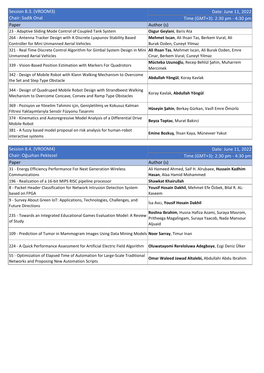| Session 8.3. (VROOM3)                                                       | Date: June 11, 2022                                |
|-----------------------------------------------------------------------------|----------------------------------------------------|
| <b>Chair: Sadik Onal</b>                                                    | Time (GMT+3): 2:30 pm - 4:30 pm                    |
| Paper                                                                       | Author (s)                                         |
| 23 - Adaptive Sliding Mode Control of Coupled Tank System                   | Ozgur Geylani, Baris Ata                           |
| 264 - Antenna Tracker Design with A Discrete Lyapunov Stability Based       | Mehmet Iscan, Ali Ihsan Tas, Berkem Vural, Ali     |
| Controller for Mini Unmanned Aerial Vehicles                                | Burak Ozden, Cuneyt Yilmaz                         |
| 321 - Real Time Discrete Control Algorithm for Gimbal System Design in Mini | Ali Ihsan Tas, Mehmet Iscan, Ali Burak Ozden, Emre |
| Unmanned Aerial Vehicles                                                    | Cinar, Berkem Vural, Cuneyt Yilmaz                 |
| 339 - Vision-Based Position Estimation with Markers For Quadrotors          | Mücteba Uzunoğlu, Recep Behlül Şahin, Muharrem     |
|                                                                             | Mercimek                                           |
| 342 - Design of Mobile Robot with Klann Walking Mechanism to Overcome       | Abdullah Yöngül, Koray Kavlak                      |
| the Set and Step Type Obstacle                                              |                                                    |
| 344 - Design of Quadruped Mobile Robot Design with Strandbeest Walking      |                                                    |
| Mechanism to Overcome Concave, Convex and Ramp Type Obstacles               | Koray Kavlak, Abdullah Yöngül                      |
|                                                                             |                                                    |
| 369 - Pozisyon ve Yönelim Tahmini için, Genişletilmiş ve Kokusuz Kalman     | Hüseyin Şahin, Berkay Gürkan, Vasfi Emre Ömürlü    |
| Filtresi Yaklaşımlarıyla Sensör Füzyonu Tasarımı                            |                                                    |
| 374 - Kinematics and Autoregressive Model Analysis of a Differential Drive  | Beyza Toptas, Murat Bakirci                        |
| Mobile Robot                                                                |                                                    |
| 381 - A fuzzy based model proposal on risk analysis for human-robot         | Emine Bozkuş, İhsan Kaya, Münevver Yakut           |
| interactive systems                                                         |                                                    |

| Session 8.4. (VROOM4)                                                                          | Date: June 11, 2022                                  |
|------------------------------------------------------------------------------------------------|------------------------------------------------------|
| Chair: Oğuzhan Pektezel                                                                        | Time (GMT+3): 2:30 pm - 4:30 pm                      |
| Paper                                                                                          | Author (s)                                           |
| 31 - Energy Efficiency Performance For Next Generation Wireless                                | Ali Hameed Ahmed, Saif H. Alrubaee, Hussein Kadhim   |
| <b>Communications</b>                                                                          | Hasan, Alaa Hamid Mohammed                           |
| 196 - Realization of a 16-bit MIPS RISC pipeline processor                                     | <b>Shawkat Khairullah</b>                            |
| 8 - Packet Header Classification for Network Intrusion Detection System                        | Yousif Hosain Dakhil, Mehmet Efe Özbek, Bilal R. AL- |
| based on FPGA                                                                                  | Kaseem                                               |
| 9 - Survey About Green IoT: Applications, Technologies, Challenges, and                        | Isa Avci, Yousif Hosain Dakhil                       |
| <b>Future Directions</b>                                                                       |                                                      |
| 235 - Towards an Integrated Educational Games Evaluation Model: A Review                       | Roslina Ibrahim, Husna Hafiza Azami, Suraya Masrom,  |
| of Study                                                                                       | Pritheega Magalingam, Suraya Yaacob, Nada Mansour    |
|                                                                                                | Aljuaid                                              |
| 109 - Prediction of Tumor in Mammogram Images Using Data Mining Models Noor Sarray, Timur Inan |                                                      |
| 224 - A Quick Performance Assessment for Artificial Electric Field Algorithm                   | Oluwatayomi Rereloluwa Adegboye, Ezgi Deniz Ülker    |
| 55 - Optimization of Elapsed Time of Automation for Large-Scale Traditional                    | Omar Waleed Jawad Altalebi, Abdullahi Abdu Ibrahim   |
| Networks and Proposing New Automation Scripts                                                  |                                                      |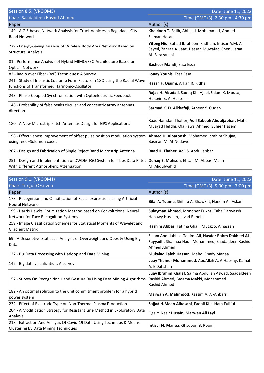| Session 8.5. (VROOM5)                                                                                                      | Date: June 11, 2022                                                                                                       |
|----------------------------------------------------------------------------------------------------------------------------|---------------------------------------------------------------------------------------------------------------------------|
| Chair: Saadaldeen Rashid Ahmed                                                                                             | Time (GMT+3): 2:30 pm - 4:30 pm                                                                                           |
| Paper                                                                                                                      | Author (s)                                                                                                                |
| 149 - A GIS-based Network Analysis for Truck Vehicles in Baghdad's City<br><b>Road Network</b>                             | Khaldoon T. Falih, Abbas J. Mohammed, Ahmed<br>Salman Hasan                                                               |
| 229 - Energy-Saving Analysis of Wireless Body Area Network Based on<br><b>Structural Analysis</b>                          | Yitong Niu, Suhad Ibraheem Kadhem, Intisar A.M. Al<br>Sayed, Zahraa A. Jaaz, Hassan Muwafaq Gheni, Israa<br>Al Barazanchi |
| 81 - Performance Analysis of Hybrid MIMO/FSO Architecture Based on<br><b>Optical Network</b>                               | Basheer Mahdi, Essa Essa                                                                                                  |
| 82 - Radio over Fiber (RoF) Techniques: A Survey                                                                           | Louay Younis, Essa Essa                                                                                                   |
| 241 - Study of Inelastic Coulomb Form Factors in 180 using the Radial Wave<br>functions of Transformed Harmonic-Oscillator | Hasan F. Ojaimi, Arkan R. Ridha                                                                                           |
| 243 - Phase-Coupled Synchronization with Optoelectronic Feedback                                                           | Rajaa H. Abudali, Sadeq Kh. Ajeel, Salam K. Mousa,<br>Hussein B. Al Husseini                                              |
| 148 - Probability of false peaks circular and concentric array antennas<br>direction                                       | Sarmad K. D. Alkhafaji, Atheer Y. Oudah                                                                                   |
| 180 - A New Microstrip Patch Antennas Design for GPS Applications                                                          | Raad Hamdan Thaher, Adil Sabeeh Abduljabbar, Maher<br>Muayad Hefdhi, Ola Fawzi Ahmed, Suhier Hazem                        |
| 198 - Effectiveness improvement of offset pulse position modulation system<br>using reed-Solomon codes                     | Ahmed H. Albatoosh, Mohamed Ibrahim Shujaa,<br>Basman M. Al-Nedawe                                                        |
| 207 - Design and Fabrication of Single Reject Band Microstrip Antenna                                                      | Raad H. Thaher, Adil S. Abduljabbar                                                                                       |
| 251 - Design and Implementation of DWDM-FSO System for Tbps Data Rates<br>With Different Atmospheric Attenuation           | Dehaq E. Mohsen, Ehsan M. Abbas, Maan<br>M. Abdulwahid                                                                    |

| Session 9.1. (VROOM1)                                                                                          | Date: June 11, 2022                                                                                                     |
|----------------------------------------------------------------------------------------------------------------|-------------------------------------------------------------------------------------------------------------------------|
| <b>Chair: Turgut Ozseven</b>                                                                                   | Time (GMT+3): 5:00 pm - 7:00 pm                                                                                         |
| Paper                                                                                                          | Author (s)                                                                                                              |
| 178 - Recognition and Classification of Facial expressions using Artificial<br><b>Neural Networks</b>          | Bilal A. Tuama, Shihab A. Shawkat, Naeem A. Askar                                                                       |
| 199 - Harris Hawks Optimization Method based on Convolutional Neural<br>Network for Face Recognition Systems   | Sulayman Ahmed, Mondher Frikha, Taha Darwassh<br>Hanawy Hussein, Javad Rahebi                                           |
| 259 - Image Classification Schemes for Statistical Moments of Wavelet and<br><b>Gradient Matrix</b>            | Hashim Abbas, Fatima Ghali, Mutaz S. Alhassan                                                                           |
| 69 - A Descriptive Statistical Analysis of Overweight and Obesity Using Big<br>Data                            | Salam Abdulabbas Ganim Ali, Hayder Rahm Dakheel AL-<br>Fayyadh, Shaimaa Hadi Mohammed, Saadaldeen Rashid<br>Ahmed Ahmed |
| 127 - Big Data Processing with Hadoop and Data Mining                                                          | Mukalad Faleh Hassan, Mehdi Ebady Manaa                                                                                 |
| 142 - Big data visualization: A survey                                                                         | Luay Thamer Mohammed, AbdAllah A. AlHabshy, Kamal<br>A. ElDahshan                                                       |
| 157 - Survey On Recognition Hand Gesture By Using Data Mining Algorithms                                       | Luay Ibrahim Khalaf, Salma Abdullah Aswad, Saadaldeen<br>Rashid Ahmed, Bassma Makki, Mohammed<br>Rashid Ahmed           |
| 182 - An optimal solution to the unit commitment problem for a hybrid<br>power system                          | Marwan A. Mahmood, Kassim A. Al-Anbarri                                                                                 |
| 232 - Effect of Electrode Type on Non-Thermal Plasma Production                                                | Sajjad H.Maan Alhasani, Fadhil Khaddam Fuliful                                                                          |
| 204 - A Modification Strategy for Resistant Line Method in Exploratory Data<br>Analysis                        | Qasim Nasir Husain, Marwan Ali Layl                                                                                     |
| 218 - Extraction And Analysis Of Covid-19 Data Using Techniqus K-Means<br>Clustering By Data Mining Techniques | Intisar N. Manea, Ghsuoon B. Roomi                                                                                      |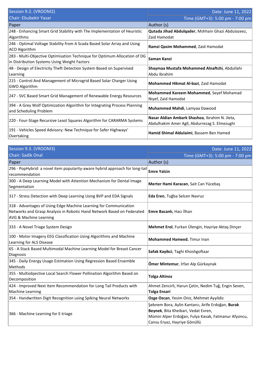| Session 9.2. (VROOM2)                                                                                                     | Date: June 11, 2022                                                                             |
|---------------------------------------------------------------------------------------------------------------------------|-------------------------------------------------------------------------------------------------|
| <b>Chair: Ebubekir Yasar</b>                                                                                              | Time (GMT+3): 5:00 pm - 7:00 pm                                                                 |
| Paper                                                                                                                     | Author (s)                                                                                      |
| 248 - Enhancing Smart Grid Stability with The Implementation of Heuristic<br>Algorithms                                   | Qutada Jihad Abdulqader, Mshhain Ghazi Abdulazeez,<br>Zaid Hamodat                              |
| 246 - Optimal Voltage Stability from A Scada Based Solar Array and Using<br>ACO Algorithm                                 | Ramzi Qasim Mohammed, Zaid Hamodat                                                              |
| 283 - Multi-Objective Optimisation Technique for Optimum Allocation of DG<br>in Distribution Systems Using Weight Factors | Saman Kanzi                                                                                     |
| 48 - Design of Electricity Theft Detection System Based on Supervised<br>Learning                                         | Shaymaa Mustafa Mohammed Alnaftchi, Abdullahi<br>Abdu Ibrahim                                   |
| 215 - Control And Management of Microgrid Based Solar Charger Using<br><b>GWO Algorithm</b>                               | Mohammed Hikmat Al-bazi, Zaid Hamodat                                                           |
| 247 - SVC Based Smart Grid Management of Renewable Energy Resources                                                       | Mohammed Kareem Mohammed, Seyef Mohamad<br>Niyef, Zaid Hamodat                                  |
| 394 - A Grey Wolf Optimization Algorithm for Integrating Process Planning<br>and Scheduling Problem                       | Muhammed Mahdi, Lamyaa Dawood                                                                   |
| 220 - Four-Stage Recursive Least Squares Algorithm for CARARMA Systems                                                    | Nasar Aldian Ambark Shashoa, Ibrahim N. Jleta,<br>Abdulhakim Amer Agll, Abdurrezag S. Elmezughi |
| 191 - Vehicles Speed Advisory: New Technique for Safer Highways'<br>Overtaking                                            | Hamid Shimal Aldulaimi, Bassem Ben Hamed                                                        |

| Session 9.3. (VROOM3)                                                                                                                                                            | Date: June 11, 2022                                                                                                                                                             |
|----------------------------------------------------------------------------------------------------------------------------------------------------------------------------------|---------------------------------------------------------------------------------------------------------------------------------------------------------------------------------|
| <b>Chair: Sadik Onal</b>                                                                                                                                                         | Time (GMT+3): 5:00 pm - 7:00 pm                                                                                                                                                 |
| Paper                                                                                                                                                                            | Author (s)                                                                                                                                                                      |
| 296 - PopHybrid: a novel item popularity-aware hybrid approach for long-tail<br>recommendation                                                                                   | <b>Emre Yalcin</b>                                                                                                                                                              |
| 300 - A Deep Learning Model with Attention Mechanism for Dental Image<br>Segmentation                                                                                            | Merter Hami Karacan, Sait Can Yücebaş                                                                                                                                           |
| 317 - Stress Detection with Deep Learning Using BVP and EDA Signals                                                                                                              | Eda Eren, Tuğba Selcen Navruz                                                                                                                                                   |
| 318 - Advantages of Using Edge Machine Learning for Communication<br>Networks and Grasp Analysis in Robotic Hand Network Based on Federated<br><b>AVG &amp; Machine Learning</b> | <b>Emre Bacanlı</b> , Hacı İlhan                                                                                                                                                |
| 333 - A Novel Triage System Design                                                                                                                                               | Mehmet Erol, Furkan Ülengin, Hayriye Aktaş Dinçer                                                                                                                               |
| 100 - Motor Imagery EEG Classification Using Algorithms and Machine<br>Learning for ALS Disease                                                                                  | Mohammed Hameed, Timur Inan                                                                                                                                                     |
| 65 - A Stack Based Multimodal Machine Learning Model for Breast Cancer<br>Diagnosis                                                                                              | Safak Kayikci, Taghi Khoshgoftaar                                                                                                                                               |
| 345 - Daily Energy Usage Estimation Using Regression Based Ensemble<br>Methods                                                                                                   | Ömer Mintemur, İrfan Alp Gürkaynak                                                                                                                                              |
| 355 - Multiobjective Local Search Flower Pollination Algorithm Based on<br>Decomposition                                                                                         | <b>Tolga Altinoz</b>                                                                                                                                                            |
| 424 - Improved Next Item Recommendation for Long Tail Products with<br>Machine Learning                                                                                          | Ahmet Zencirli, Harun Çetin, Nedim Tuğ, Engin Seven,<br><b>Tolga Ensari</b>                                                                                                     |
| 354 - Handwritten Digit Recognition using Spiking Neural Networks                                                                                                                | Ozge Ozcan, Yesim Oniz, Mehmet Ayyildiz                                                                                                                                         |
| 366 - Machine Learning for E-triage                                                                                                                                              | Şebnem Bora, Aylin Kantarcı, Arife Erdoğan, Burak<br>Beynek, Bita Kheibari, Vedat Evren,<br>Mümin Alper Erdoğan, Fulya Kavak, Fatmanur Afyoncu,<br>Cansu Eryaz, Hayriye Gönüllü |